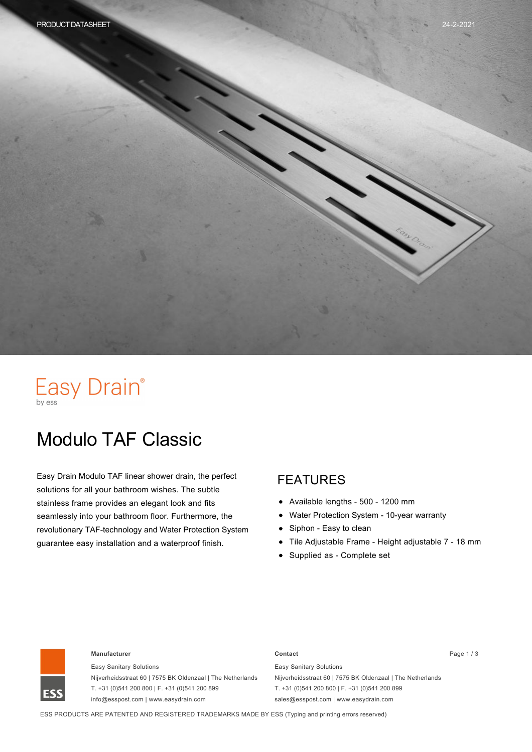# Easy Drain®

# Modulo TAF Classic

Easy Drain Modulo TAF linear shower drain, the perfect solutions for all your bathroom wishes. The subtle stainless frame provides an elegant look and fits seamlessly into your bathroom floor. Furthermore, the revolutionary TAF-technology and Water Protection System guarantee easy installation and a waterproof finish.

#### FEATURES

- $\bullet$ Available lengths - 500 - 1200 mm
- Water Protection System 10-year warranty  $\bullet$
- Siphon Easy to clean  $\bullet$
- Tile Adjustable Frame Height adjustable 7 18 mm  $\bullet$
- Supplied as Complete set



#### **Manufacturer Contact** Page 1 / 3

Easy Sanitary Solutions Nijverheidsstraat 60 | 7575 BK Oldenzaal | The Netherlands T. +31 (0)541 200 800 | F. +31 (0)541 200 899 info@esspost.com | www.easydrain.com

Easy Sanitary Solutions Nijverheidsstraat 60 | 7575 BK Oldenzaal | The Netherlands T. +31 (0)541 200 800 | F. +31 (0)541 200 899 sales@esspost.com | www.easydrain.com

ESS PRODUCTS ARE PATENTED AND REGISTERED TRADEMARKS MADE BY ESS (Typing and printing errors reserved)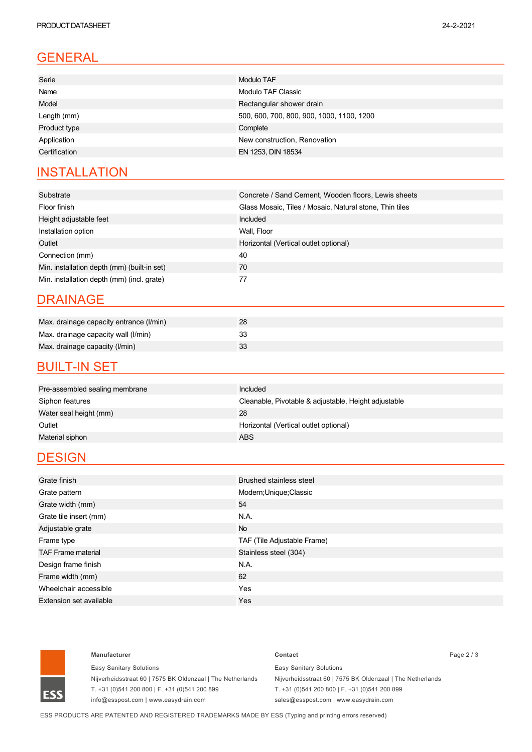| Serie         | Modulo TAF                                |
|---------------|-------------------------------------------|
| Name          | Modulo TAF Classic                        |
| Model         | Rectangular shower drain                  |
| Length (mm)   | 500, 600, 700, 800, 900, 1000, 1100, 1200 |
| Product type  | Complete                                  |
| Application   | New construction, Renovation              |
| Certification | EN 1253, DIN 18534                        |

## **INSTALLATION**

| Substrate                                   | Concrete / Sand Cement, Wooden floors, Lewis sheets     |
|---------------------------------------------|---------------------------------------------------------|
| Floor finish                                | Glass Mosaic, Tiles / Mosaic, Natural stone, Thin tiles |
| Height adjustable feet                      | Included                                                |
| Installation option                         | Wall, Floor                                             |
| Outlet                                      | Horizontal (Vertical outlet optional)                   |
| Connection (mm)                             | 40                                                      |
| Min. installation depth (mm) (built-in set) | 70                                                      |
| Min. installation depth (mm) (incl. grate)  | 77                                                      |

#### DRAINAGE

| Max. drainage capacity entrance (I/min) | 28 |
|-----------------------------------------|----|
| Max. drainage capacity wall (I/min)     |    |
| Max. drainage capacity (I/min)          | 33 |

### **BUILT-IN SET**

| Pre-assembled sealing membrane | Included                                             |
|--------------------------------|------------------------------------------------------|
| Siphon features                | Cleanable, Pivotable & adjustable, Height adjustable |
| Water seal height (mm)         | 28                                                   |
| Outlet                         | Horizontal (Vertical outlet optional)                |
| Material siphon                | ABS                                                  |
|                                |                                                      |

### **DESIGN**

| <b>Brushed stainless steel</b> |
|--------------------------------|
| Modern; Unique; Classic        |
| 54                             |
| N.A.                           |
| <b>No</b>                      |
| TAF (Tile Adjustable Frame)    |
| Stainless steel (304)          |
| N.A.                           |
| 62                             |
| Yes                            |
| Yes                            |
|                                |



#### **Manufacturer Contact** Page 2 / 3

Easy Sanitary Solutions Nijverheidsstraat 60 | 7575 BK Oldenzaal | The Netherlands T. +31 (0)541 200 800 | F. +31 (0)541 200 899 info@esspost.com | www.easydrain.com

Easy Sanitary Solutions Nijverheidsstraat 60 | 7575 BK Oldenzaal | The Netherlands T. +31 (0)541 200 800 | F. +31 (0)541 200 899 sales@esspost.com | www.easydrain.com

ESS PRODUCTS ARE PATENTED AND REGISTERED TRADEMARKS MADE BY ESS (Typing and printing errors reserved)